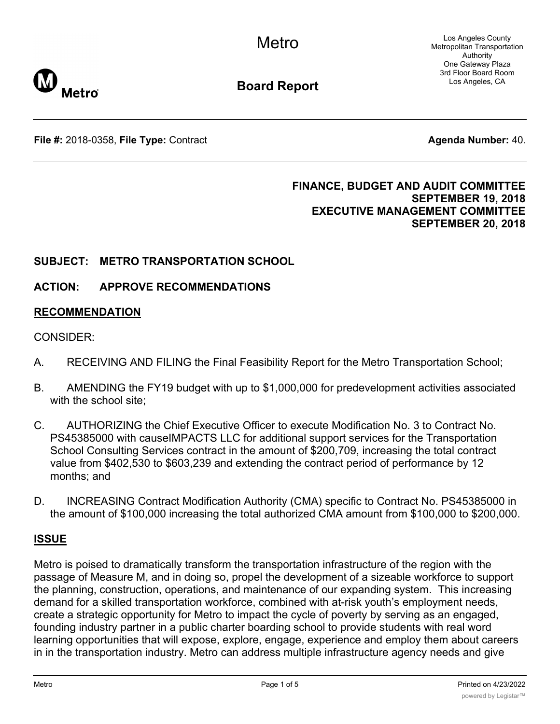Los Angeles County Metropolitan Transportation Authority One Gateway Plaza 3rd Floor Board Room Los Angeles, CA



**Board Report**

**File #:** 2018-0358, File Type: Contract **Agents Agenda Number:** 40.

# **FINANCE, BUDGET AND AUDIT COMMITTEE SEPTEMBER 19, 2018 EXECUTIVE MANAGEMENT COMMITTEE SEPTEMBER 20, 2018**

# **SUBJECT: METRO TRANSPORTATION SCHOOL**

# **ACTION: APPROVE RECOMMENDATIONS**

# **RECOMMENDATION**

### CONSIDER:

- A. RECEIVING AND FILING the Final Feasibility Report for the Metro Transportation School;
- B. AMENDING the FY19 budget with up to \$1,000,000 for predevelopment activities associated with the school site:
- C. AUTHORIZING the Chief Executive Officer to execute Modification No. 3 to Contract No. PS45385000 with causeIMPACTS LLC for additional support services for the Transportation School Consulting Services contract in the amount of \$200,709, increasing the total contract value from \$402,530 to \$603,239 and extending the contract period of performance by 12 months; and
- D. INCREASING Contract Modification Authority (CMA) specific to Contract No. PS45385000 in the amount of \$100,000 increasing the total authorized CMA amount from \$100,000 to \$200,000.

# **ISSUE**

Metro is poised to dramatically transform the transportation infrastructure of the region with the passage of Measure M, and in doing so, propel the development of a sizeable workforce to support the planning, construction, operations, and maintenance of our expanding system. This increasing demand for a skilled transportation workforce, combined with at-risk youth's employment needs, create a strategic opportunity for Metro to impact the cycle of poverty by serving as an engaged, founding industry partner in a public charter boarding school to provide students with real word learning opportunities that will expose, explore, engage, experience and employ them about careers in in the transportation industry. Metro can address multiple infrastructure agency needs and give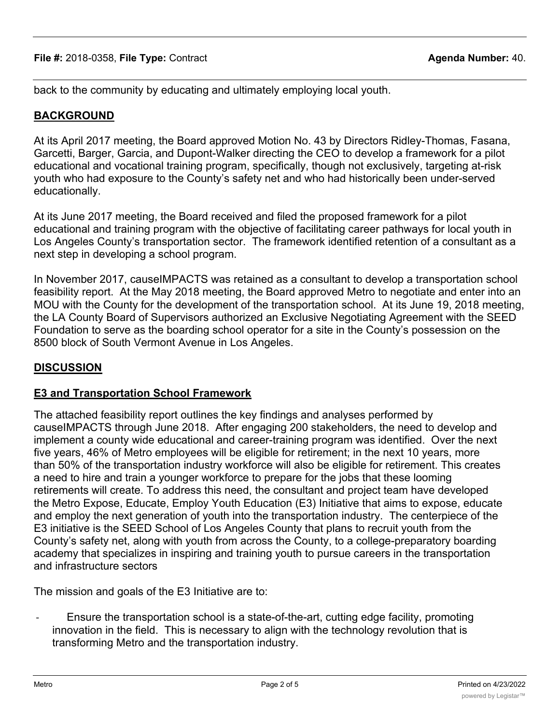back to the community by educating and ultimately employing local youth.

# **BACKGROUND**

At its April 2017 meeting, the Board approved Motion No. 43 by Directors Ridley-Thomas, Fasana, Garcetti, Barger, Garcia, and Dupont-Walker directing the CEO to develop a framework for a pilot educational and vocational training program, specifically, though not exclusively, targeting at-risk youth who had exposure to the County's safety net and who had historically been under-served educationally.

At its June 2017 meeting, the Board received and filed the proposed framework for a pilot educational and training program with the objective of facilitating career pathways for local youth in Los Angeles County's transportation sector. The framework identified retention of a consultant as a next step in developing a school program.

In November 2017, causeIMPACTS was retained as a consultant to develop a transportation school feasibility report. At the May 2018 meeting, the Board approved Metro to negotiate and enter into an MOU with the County for the development of the transportation school. At its June 19, 2018 meeting, the LA County Board of Supervisors authorized an Exclusive Negotiating Agreement with the SEED Foundation to serve as the boarding school operator for a site in the County's possession on the 8500 block of South Vermont Avenue in Los Angeles.

# **DISCUSSION**

### **E3 and Transportation School Framework**

The attached feasibility report outlines the key findings and analyses performed by causeIMPACTS through June 2018. After engaging 200 stakeholders, the need to develop and implement a county wide educational and career-training program was identified. Over the next five years, 46% of Metro employees will be eligible for retirement; in the next 10 years, more than 50% of the transportation industry workforce will also be eligible for retirement. This creates a need to hire and train a younger workforce to prepare for the jobs that these looming retirements will create. To address this need, the consultant and project team have developed the Metro Expose, Educate, Employ Youth Education (E3) Initiative that aims to expose, educate and employ the next generation of youth into the transportation industry. The centerpiece of the E3 initiative is the SEED School of Los Angeles County that plans to recruit youth from the County's safety net, along with youth from across the County, to a college-preparatory boarding academy that specializes in inspiring and training youth to pursue careers in the transportation and infrastructure sectors

The mission and goals of the E3 Initiative are to:

Ensure the transportation school is a state-of-the-art, cutting edge facility, promoting innovation in the field. This is necessary to align with the technology revolution that is transforming Metro and the transportation industry.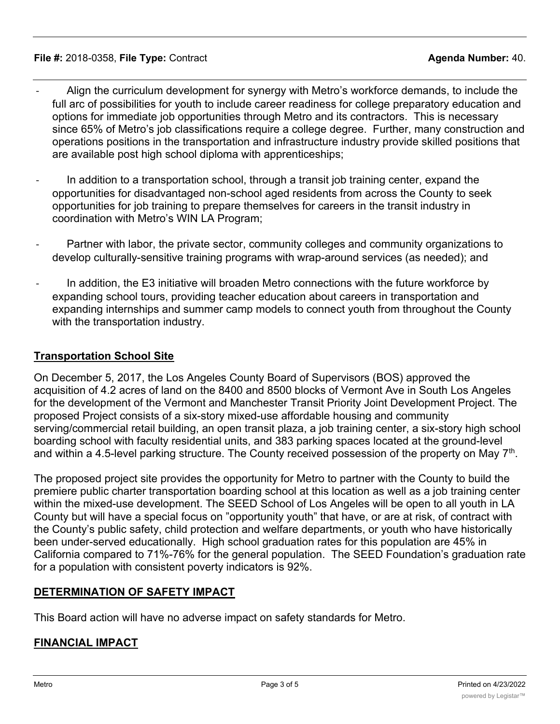#### **File #:** 2018-0358, **File Type:** Contract **Agenda Number:** 40.

- Align the curriculum development for synergy with Metro's workforce demands, to include the full arc of possibilities for youth to include career readiness for college preparatory education and options for immediate job opportunities through Metro and its contractors. This is necessary since 65% of Metro's job classifications require a college degree. Further, many construction and operations positions in the transportation and infrastructure industry provide skilled positions that are available post high school diploma with apprenticeships;
- In addition to a transportation school, through a transit job training center, expand the opportunities for disadvantaged non-school aged residents from across the County to seek opportunities for job training to prepare themselves for careers in the transit industry in coordination with Metro's WIN LA Program;
- Partner with labor, the private sector, community colleges and community organizations to develop culturally-sensitive training programs with wrap-around services (as needed); and
- In addition, the E3 initiative will broaden Metro connections with the future workforce by expanding school tours, providing teacher education about careers in transportation and expanding internships and summer camp models to connect youth from throughout the County with the transportation industry.

#### **Transportation School Site**

On December 5, 2017, the Los Angeles County Board of Supervisors (BOS) approved the acquisition of 4.2 acres of land on the 8400 and 8500 blocks of Vermont Ave in South Los Angeles for the development of the Vermont and Manchester Transit Priority Joint Development Project. The proposed Project consists of a six-story mixed-use affordable housing and community serving/commercial retail building, an open transit plaza, a job training center, a six-story high school boarding school with faculty residential units, and 383 parking spaces located at the ground-level and within a 4.5-level parking structure. The County received possession of the property on May 7<sup>th</sup>.

The proposed project site provides the opportunity for Metro to partner with the County to build the premiere public charter transportation boarding school at this location as well as a job training center within the mixed-use development. The SEED School of Los Angeles will be open to all youth in LA County but will have a special focus on "opportunity youth" that have, or are at risk, of contract with the County's public safety, child protection and welfare departments, or youth who have historically been under-served educationally. High school graduation rates for this population are 45% in California compared to 71%-76% for the general population. The SEED Foundation's graduation rate for a population with consistent poverty indicators is 92%.

### **DETERMINATION OF SAFETY IMPACT**

This Board action will have no adverse impact on safety standards for Metro.

### **FINANCIAL IMPACT**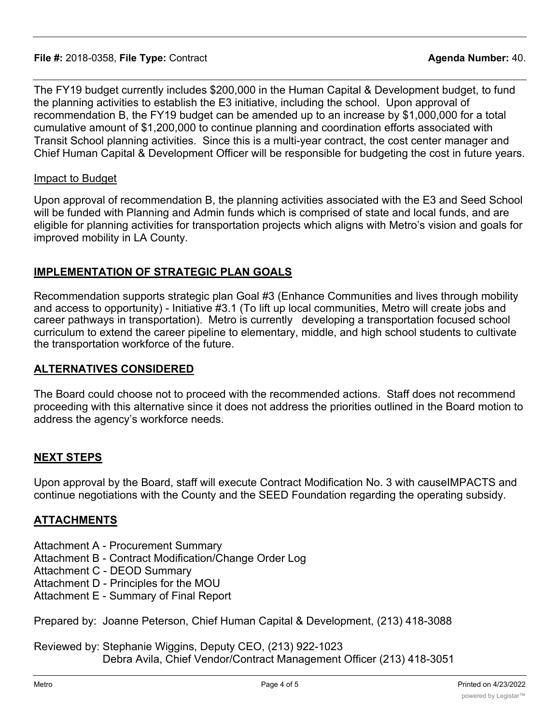#### **File #:** 2018-0358, **File Type:** Contract **Agenda Number:** 40.

The FY19 budget currently includes \$200,000 in the Human Capital & Development budget, to fund the planning activities to establish the E3 initiative, including the school. Upon approval of recommendation B, the FY19 budget can be amended up to an increase by \$1,000,000 for a total cumulative amount of \$1,200,000 to continue planning and coordination efforts associated with Transit School planning activities. Since this is a multi-year contract, the cost center manager and Chief Human Capital & Development Officer will be responsible for budgeting the cost in future years.

#### Impact to Budget

Upon approval of recommendation B, the planning activities associated with the E3 and Seed School will be funded with Planning and Admin funds which is comprised of state and local funds, and are eligible for planning activities for transportation projects which aligns with Metro's vision and goals for improved mobility in LA County.

### **IMPLEMENTATION OF STRATEGIC PLAN GOALS**

Recommendation supports strategic plan Goal #3 (Enhance Communities and lives through mobility and access to opportunity) - Initiative #3.1 (To lift up local communities, Metro will create jobs and career pathways in transportation). Metro is currently developing a transportation focused school curriculum to extend the career pipeline to elementary, middle, and high school students to cultivate the transportation workforce of the future.

### **ALTERNATIVES CONSIDERED**

The Board could choose not to proceed with the recommended actions. Staff does not recommend proceeding with this alternative since it does not address the priorities outlined in the Board motion to address the agency's workforce needs.

### **NEXT STEPS**

Upon approval by the Board, staff will execute Contract Modification No. 3 with causeIMPACTS and continue negotiations with the County and the SEED Foundation regarding the operating subsidy.

### **ATTACHMENTS**

- Attachment A Procurement Summary
- Attachment B Contract Modification/Change Order Log
- Attachment C DEOD Summary
- Attachment D Principles for the MOU
- Attachment E Summary of Final Report

Prepared by: Joanne Peterson, Chief Human Capital & Development, (213) 418-3088

Reviewed by: Stephanie Wiggins, Deputy CEO, (213) 922-1023 Debra Avila, Chief Vendor/Contract Management Officer (213) 418-3051